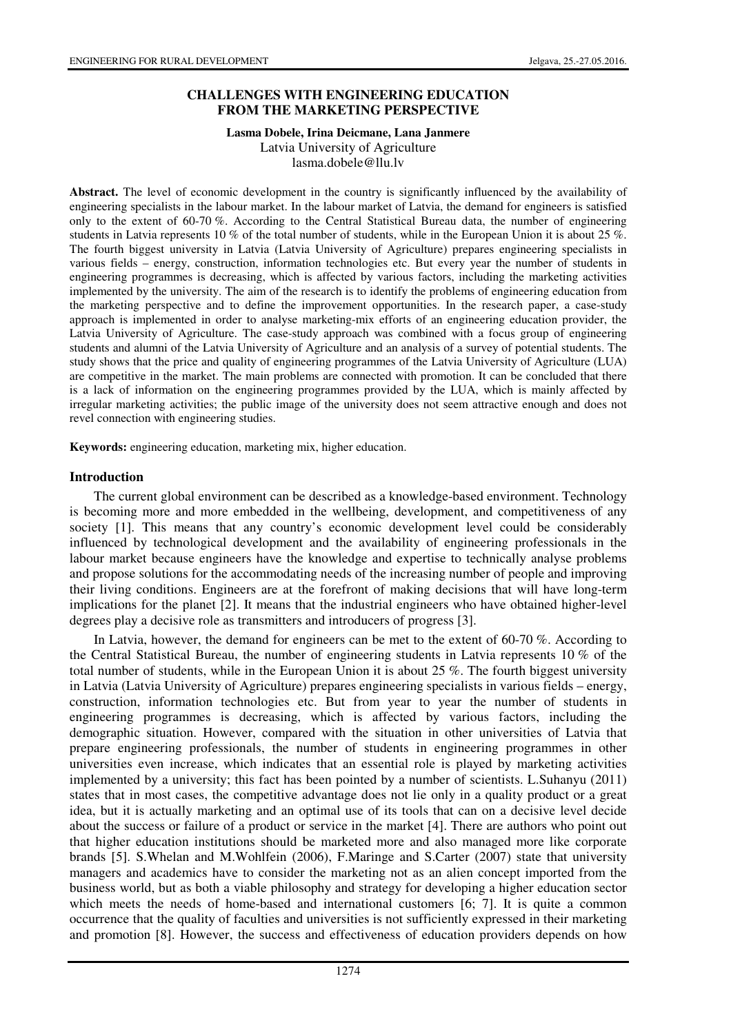### **CHALLENGES WITH ENGINEERING EDUCATION FROM THE MARKETING PERSPECTIVE**

# **Lasma Dobele, Irina Deicmane, Lana Janmere**

Latvia University of Agriculture lasma.dobele@llu.lv

**Abstract.** The level of economic development in the country is significantly influenced by the availability of engineering specialists in the labour market. In the labour market of Latvia, the demand for engineers is satisfied only to the extent of 60-70 %. According to the Central Statistical Bureau data, the number of engineering students in Latvia represents 10 % of the total number of students, while in the European Union it is about 25 %. The fourth biggest university in Latvia (Latvia University of Agriculture) prepares engineering specialists in various fields – energy, construction, information technologies etc. But every year the number of students in engineering programmes is decreasing, which is affected by various factors, including the marketing activities implemented by the university. The aim of the research is to identify the problems of engineering education from the marketing perspective and to define the improvement opportunities. In the research paper, a case-study approach is implemented in order to analyse marketing-mix efforts of an engineering education provider, the Latvia University of Agriculture. The case-study approach was combined with a focus group of engineering students and alumni of the Latvia University of Agriculture and an analysis of a survey of potential students. The study shows that the price and quality of engineering programmes of the Latvia University of Agriculture (LUA) are competitive in the market. The main problems are connected with promotion. It can be concluded that there is a lack of information on the engineering programmes provided by the LUA, which is mainly affected by irregular marketing activities; the public image of the university does not seem attractive enough and does not revel connection with engineering studies.

**Keywords:** engineering education, marketing mix, higher education.

#### **Introduction**

The current global environment can be described as a knowledge-based environment. Technology is becoming more and more embedded in the wellbeing, development, and competitiveness of any society [1]. This means that any country's economic development level could be considerably influenced by technological development and the availability of engineering professionals in the labour market because engineers have the knowledge and expertise to technically analyse problems and propose solutions for the accommodating needs of the increasing number of people and improving their living conditions. Engineers are at the forefront of making decisions that will have long-term implications for the planet [2]. It means that the industrial engineers who have obtained higher-level degrees play a decisive role as transmitters and introducers of progress [3].

In Latvia, however, the demand for engineers can be met to the extent of 60-70 %. According to the Central Statistical Bureau, the number of engineering students in Latvia represents 10 % of the total number of students, while in the European Union it is about 25 %. The fourth biggest university in Latvia (Latvia University of Agriculture) prepares engineering specialists in various fields – energy, construction, information technologies etc. But from year to year the number of students in engineering programmes is decreasing, which is affected by various factors, including the demographic situation. However, compared with the situation in other universities of Latvia that prepare engineering professionals, the number of students in engineering programmes in other universities even increase, which indicates that an essential role is played by marketing activities implemented by a university; this fact has been pointed by a number of scientists. L.Suhanyu (2011) states that in most cases, the competitive advantage does not lie only in a quality product or a great idea, but it is actually marketing and an optimal use of its tools that can on a decisive level decide about the success or failure of a product or service in the market [4]. There are authors who point out that higher education institutions should be marketed more and also managed more like corporate brands [5]. S.Whelan and M.Wohlfein (2006), F.Maringe and S.Carter (2007) state that university managers and academics have to consider the marketing not as an alien concept imported from the business world, but as both a viable philosophy and strategy for developing a higher education sector which meets the needs of home-based and international customers [6; 7]. It is quite a common occurrence that the quality of faculties and universities is not sufficiently expressed in their marketing and promotion [8]. However, the success and effectiveness of education providers depends on how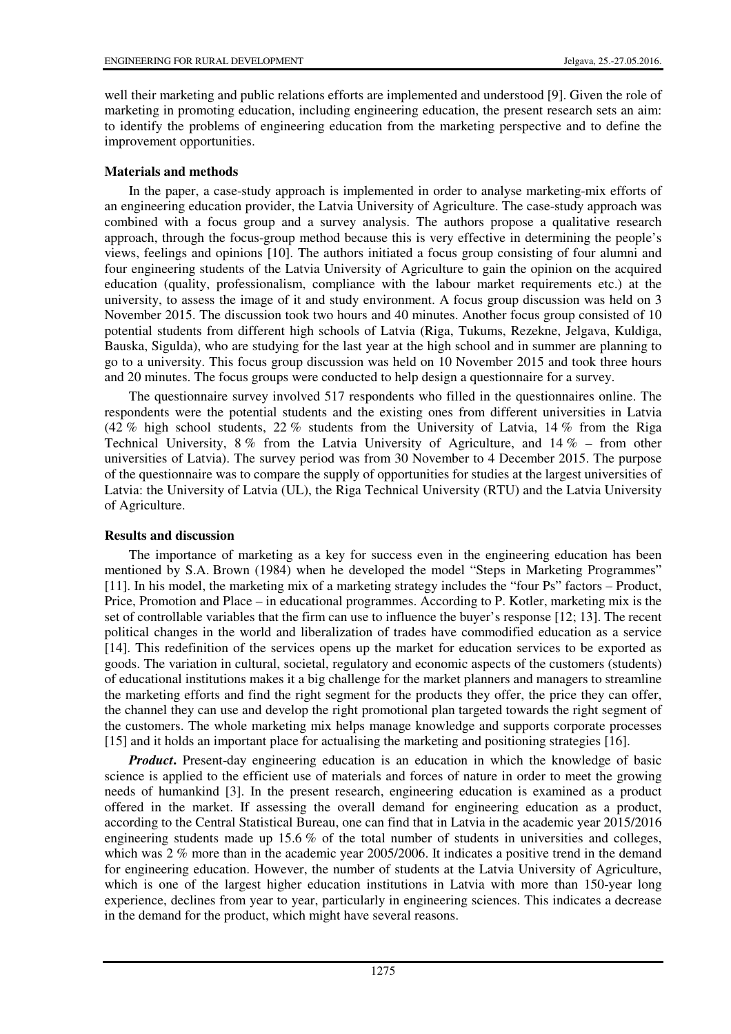well their marketing and public relations efforts are implemented and understood [9]. Given the role of marketing in promoting education, including engineering education, the present research sets an aim: to identify the problems of engineering education from the marketing perspective and to define the improvement opportunities.

#### **Materials and methods**

In the paper, a case-study approach is implemented in order to analyse marketing-mix efforts of an engineering education provider, the Latvia University of Agriculture. The case-study approach was combined with a focus group and a survey analysis. The authors propose a qualitative research approach, through the focus-group method because this is very effective in determining the people's views, feelings and opinions [10]. The authors initiated a focus group consisting of four alumni and four engineering students of the Latvia University of Agriculture to gain the opinion on the acquired education (quality, professionalism, compliance with the labour market requirements etc.) at the university, to assess the image of it and study environment. A focus group discussion was held on 3 November 2015. The discussion took two hours and 40 minutes. Another focus group consisted of 10 potential students from different high schools of Latvia (Riga, Tukums, Rezekne, Jelgava, Kuldiga, Bauska, Sigulda), who are studying for the last year at the high school and in summer are planning to go to a university. This focus group discussion was held on 10 November 2015 and took three hours and 20 minutes. The focus groups were conducted to help design a questionnaire for a survey.

The questionnaire survey involved 517 respondents who filled in the questionnaires online. The respondents were the potential students and the existing ones from different universities in Latvia (42 % high school students, 22 % students from the University of Latvia, 14 % from the Riga Technical University, 8 % from the Latvia University of Agriculture, and 14 % – from other universities of Latvia). The survey period was from 30 November to 4 December 2015. The purpose of the questionnaire was to compare the supply of opportunities for studies at the largest universities of Latvia: the University of Latvia (UL), the Riga Technical University (RTU) and the Latvia University of Agriculture.

#### **Results and discussion**

The importance of marketing as a key for success even in the engineering education has been mentioned by S.A. Brown (1984) when he developed the model "Steps in Marketing Programmes" [11]. In his model, the marketing mix of a marketing strategy includes the "four Ps" factors – Product, Price, Promotion and Place – in educational programmes. According to P. Kotler, marketing mix is the set of controllable variables that the firm can use to influence the buyer's response [12; 13]. The recent political changes in the world and liberalization of trades have commodified education as a service [14]. This redefinition of the services opens up the market for education services to be exported as goods. The variation in cultural, societal, regulatory and economic aspects of the customers (students) of educational institutions makes it a big challenge for the market planners and managers to streamline the marketing efforts and find the right segment for the products they offer, the price they can offer, the channel they can use and develop the right promotional plan targeted towards the right segment of the customers. The whole marketing mix helps manage knowledge and supports corporate processes [15] and it holds an important place for actualising the marketing and positioning strategies [16].

*Product*. Present-day engineering education is an education in which the knowledge of basic science is applied to the efficient use of materials and forces of nature in order to meet the growing needs of humankind [3]. In the present research, engineering education is examined as a product offered in the market. If assessing the overall demand for engineering education as a product, according to the Central Statistical Bureau, one can find that in Latvia in the academic year 2015/2016 engineering students made up 15.6 % of the total number of students in universities and colleges, which was  $2\%$  more than in the academic year 2005/2006. It indicates a positive trend in the demand for engineering education. However, the number of students at the Latvia University of Agriculture, which is one of the largest higher education institutions in Latvia with more than 150-year long experience, declines from year to year, particularly in engineering sciences. This indicates a decrease in the demand for the product, which might have several reasons.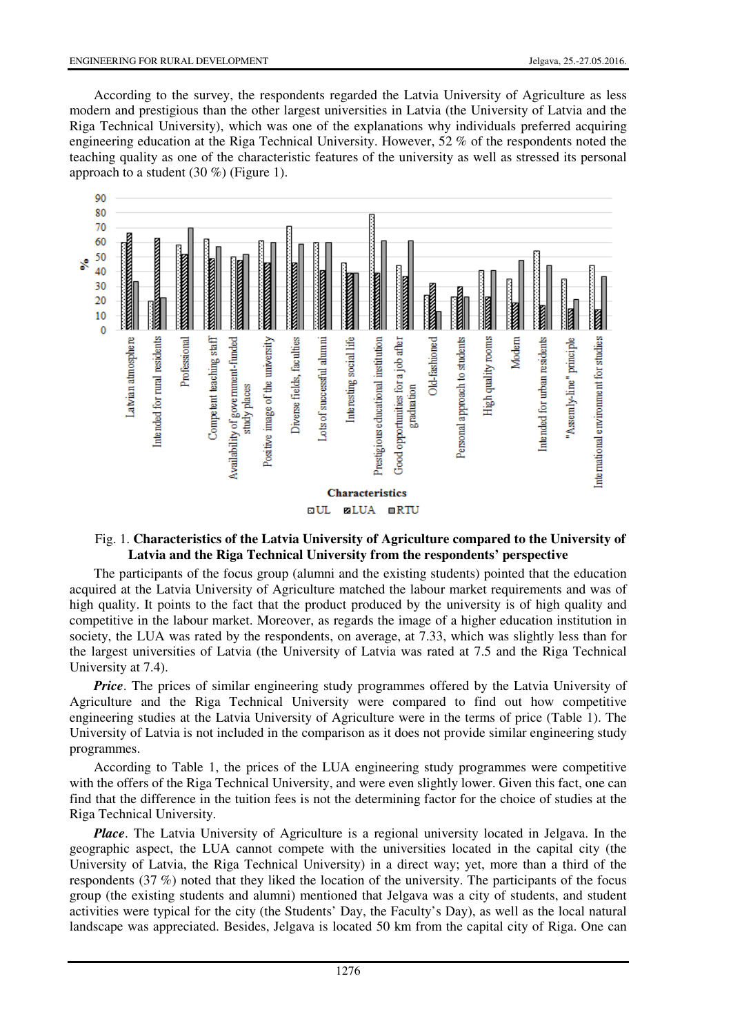According to the survey, the respondents regarded the Latvia University of Agriculture as less modern and prestigious than the other largest universities in Latvia (the University of Latvia and the Riga Technical University), which was one of the explanations why individuals preferred acquiring engineering education at the Riga Technical University. However, 52 % of the respondents noted the teaching quality as one of the characteristic features of the university as well as stressed its personal approach to a student (30 %) (Figure 1).



#### Fig. 1. **Characteristics of the Latvia University of Agriculture compared to the University of Latvia and the Riga Technical University from the respondents' perspective**

The participants of the focus group (alumni and the existing students) pointed that the education acquired at the Latvia University of Agriculture matched the labour market requirements and was of high quality. It points to the fact that the product produced by the university is of high quality and competitive in the labour market. Moreover, as regards the image of a higher education institution in society, the LUA was rated by the respondents, on average, at 7.33, which was slightly less than for the largest universities of Latvia (the University of Latvia was rated at 7.5 and the Riga Technical University at 7.4).

*Price*. The prices of similar engineering study programmes offered by the Latvia University of Agriculture and the Riga Technical University were compared to find out how competitive engineering studies at the Latvia University of Agriculture were in the terms of price (Table 1). The University of Latvia is not included in the comparison as it does not provide similar engineering study programmes.

According to Table 1, the prices of the LUA engineering study programmes were competitive with the offers of the Riga Technical University, and were even slightly lower. Given this fact, one can find that the difference in the tuition fees is not the determining factor for the choice of studies at the Riga Technical University.

*Place*. The Latvia University of Agriculture is a regional university located in Jelgava. In the geographic aspect, the LUA cannot compete with the universities located in the capital city (the University of Latvia, the Riga Technical University) in a direct way; yet, more than a third of the respondents (37 %) noted that they liked the location of the university. The participants of the focus group (the existing students and alumni) mentioned that Jelgava was a city of students, and student activities were typical for the city (the Students' Day, the Faculty's Day), as well as the local natural landscape was appreciated. Besides, Jelgava is located 50 km from the capital city of Riga. One can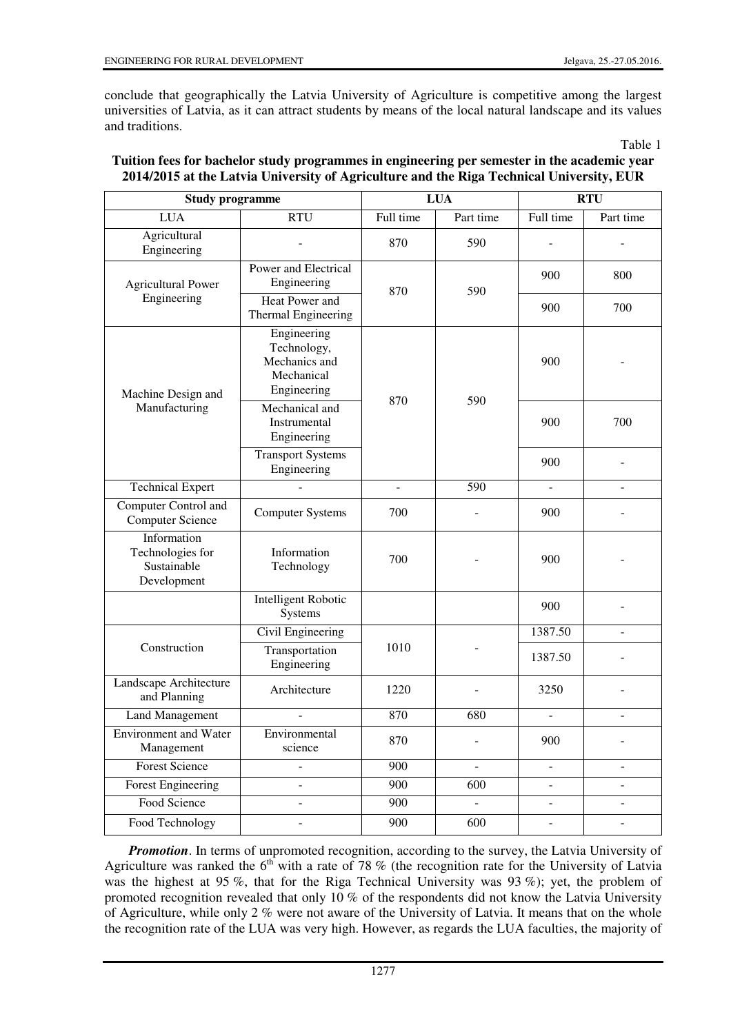conclude that geographically the Latvia University of Agriculture is competitive among the largest universities of Latvia, as it can attract students by means of the local natural landscape and its values and traditions.

Table 1

| <b>Study programme</b>                                        |                                                                          | <b>LUA</b>    |                | <b>RTU</b>               |                |
|---------------------------------------------------------------|--------------------------------------------------------------------------|---------------|----------------|--------------------------|----------------|
| <b>LUA</b>                                                    | <b>RTU</b>                                                               | Full time     | Part time      | Full time                | Part time      |
| Agricultural<br>Engineering                                   |                                                                          | 870           | 590            |                          |                |
| <b>Agricultural Power</b><br>Engineering                      | Power and Electrical<br>Engineering                                      | 870           | 590            | 900                      | 800            |
|                                                               | <b>Heat Power and</b><br><b>Thermal Engineering</b>                      |               |                | 900                      | 700            |
| Machine Design and<br>Manufacturing                           | Engineering<br>Technology,<br>Mechanics and<br>Mechanical<br>Engineering | 870           | 590            | 900                      |                |
|                                                               | Mechanical and<br>Instrumental<br>Engineering                            |               |                | 900                      | 700            |
|                                                               | <b>Transport Systems</b><br>Engineering                                  |               |                | 900                      |                |
| <b>Technical Expert</b>                                       |                                                                          | $\frac{1}{2}$ | 590            | $\overline{a}$           |                |
| Computer Control and<br><b>Computer Science</b>               | <b>Computer Systems</b>                                                  | 700           |                | 900                      |                |
| Information<br>Technologies for<br>Sustainable<br>Development | Information<br>Technology                                                | 700           |                | 900                      |                |
|                                                               | <b>Intelligent Robotic</b><br>Systems                                    |               |                | 900                      |                |
| Construction                                                  | Civil Engineering                                                        | 1010          |                | 1387.50                  |                |
|                                                               | Transportation<br>Engineering                                            |               |                | 1387.50                  |                |
| Landscape Architecture<br>and Planning                        | Architecture                                                             | 1220          |                | 3250                     |                |
| <b>Land Management</b>                                        |                                                                          | 870           | 680            | ÷,                       | ٠              |
| <b>Environment</b> and Water<br>Management                    | Environmental<br>science                                                 | 870           |                | 900                      |                |
| <b>Forest Science</b>                                         | $\overline{a}$                                                           | 900           | ÷.             | $\blacksquare$           | $\blacksquare$ |
| <b>Forest Engineering</b>                                     | $\overline{a}$                                                           | 900           | 600            | $\blacksquare$           |                |
| Food Science                                                  | $\overline{\phantom{a}}$                                                 | 900           | $\blacksquare$ | $\overline{\phantom{a}}$ | $\blacksquare$ |
| Food Technology                                               |                                                                          | 900           | 600            |                          |                |

## **Tuition fees for bachelor study programmes in engineering per semester in the academic year 2014/2015 at the Latvia University of Agriculture and the Riga Technical University, EUR**

**Promotion**. In terms of unpromoted recognition, according to the survey, the Latvia University of Agriculture was ranked the  $6<sup>th</sup>$  with a rate of 78 % (the recognition rate for the University of Latvia was the highest at 95 %, that for the Riga Technical University was 93 %); yet, the problem of promoted recognition revealed that only 10 % of the respondents did not know the Latvia University of Agriculture, while only 2 % were not aware of the University of Latvia. It means that on the whole the recognition rate of the LUA was very high. However, as regards the LUA faculties, the majority of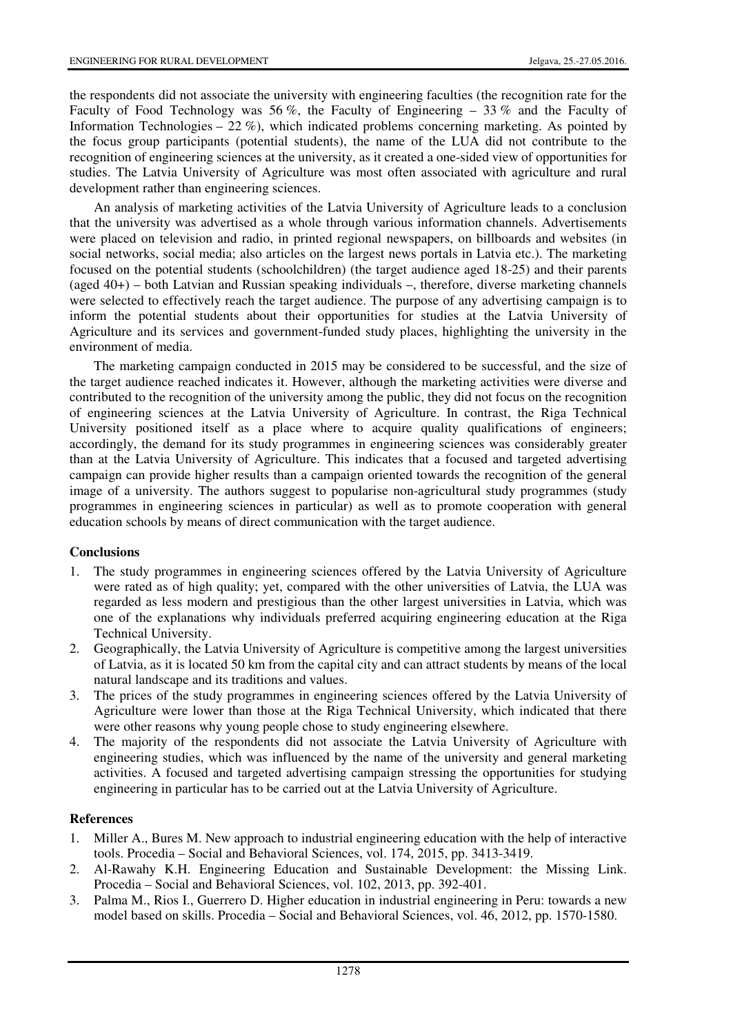the respondents did not associate the university with engineering faculties (the recognition rate for the Faculty of Food Technology was 56 %, the Faculty of Engineering – 33 % and the Faculty of Information Technologies – 22 %), which indicated problems concerning marketing. As pointed by the focus group participants (potential students), the name of the LUA did not contribute to the recognition of engineering sciences at the university, as it created a one-sided view of opportunities for studies. The Latvia University of Agriculture was most often associated with agriculture and rural development rather than engineering sciences.

An analysis of marketing activities of the Latvia University of Agriculture leads to a conclusion that the university was advertised as a whole through various information channels. Advertisements were placed on television and radio, in printed regional newspapers, on billboards and websites (in social networks, social media; also articles on the largest news portals in Latvia etc.). The marketing focused on the potential students (schoolchildren) (the target audience aged 18-25) and their parents (aged 40+) – both Latvian and Russian speaking individuals –, therefore, diverse marketing channels were selected to effectively reach the target audience. The purpose of any advertising campaign is to inform the potential students about their opportunities for studies at the Latvia University of Agriculture and its services and government-funded study places, highlighting the university in the environment of media.

The marketing campaign conducted in 2015 may be considered to be successful, and the size of the target audience reached indicates it. However, although the marketing activities were diverse and contributed to the recognition of the university among the public, they did not focus on the recognition of engineering sciences at the Latvia University of Agriculture. In contrast, the Riga Technical University positioned itself as a place where to acquire quality qualifications of engineers; accordingly, the demand for its study programmes in engineering sciences was considerably greater than at the Latvia University of Agriculture. This indicates that a focused and targeted advertising campaign can provide higher results than a campaign oriented towards the recognition of the general image of a university. The authors suggest to popularise non-agricultural study programmes (study programmes in engineering sciences in particular) as well as to promote cooperation with general education schools by means of direct communication with the target audience.

#### **Conclusions**

- 1. The study programmes in engineering sciences offered by the Latvia University of Agriculture were rated as of high quality; yet, compared with the other universities of Latvia, the LUA was regarded as less modern and prestigious than the other largest universities in Latvia, which was one of the explanations why individuals preferred acquiring engineering education at the Riga Technical University.
- 2. Geographically, the Latvia University of Agriculture is competitive among the largest universities of Latvia, as it is located 50 km from the capital city and can attract students by means of the local natural landscape and its traditions and values.
- 3. The prices of the study programmes in engineering sciences offered by the Latvia University of Agriculture were lower than those at the Riga Technical University, which indicated that there were other reasons why young people chose to study engineering elsewhere.
- 4. The majority of the respondents did not associate the Latvia University of Agriculture with engineering studies, which was influenced by the name of the university and general marketing activities. A focused and targeted advertising campaign stressing the opportunities for studying engineering in particular has to be carried out at the Latvia University of Agriculture.

#### **References**

- 1. Miller A., Bures M. New approach to industrial engineering education with the help of interactive tools. Procedia – Social and Behavioral Sciences, vol. 174, 2015, pp. 3413-3419.
- 2. Al-Rawahy K.H. Engineering Education and Sustainable Development: the Missing Link. Procedia – Social and Behavioral Sciences, vol. 102, 2013, pp. 392-401.
- 3. Palma M., Rios I., Guerrero D. Higher education in industrial engineering in Peru: towards a new model based on skills. Procedia – Social and Behavioral Sciences, vol. 46, 2012, pp. 1570-1580.